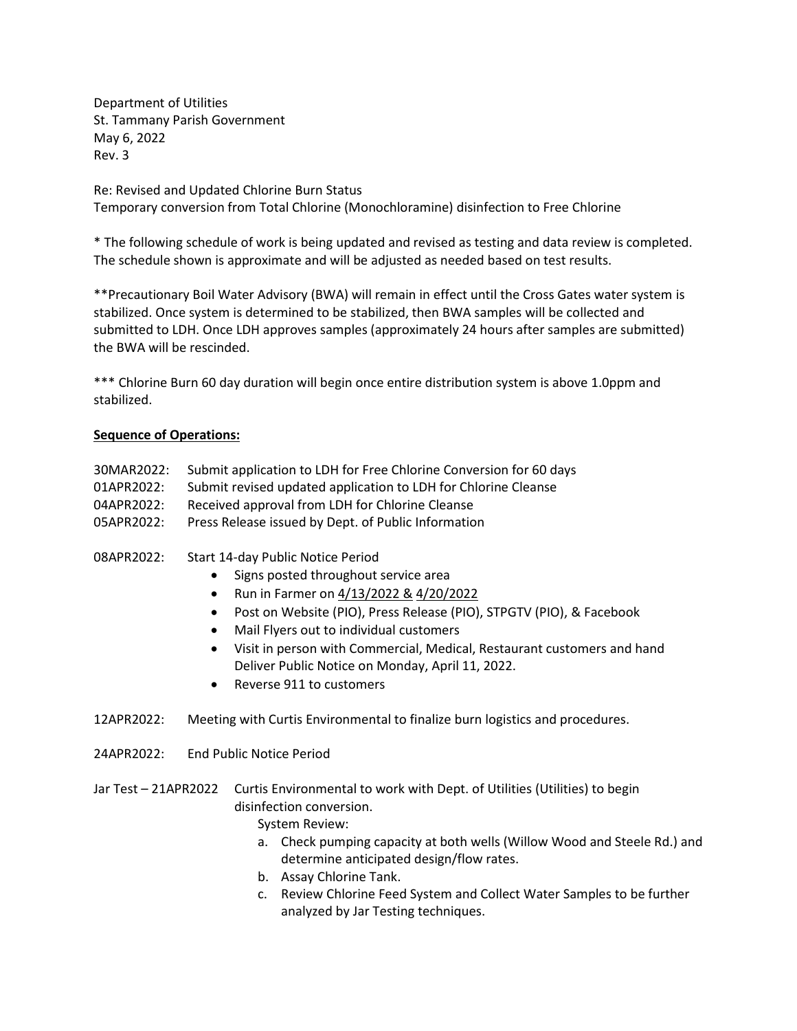Department of Utilities St. Tammany Parish Government May 6, 2022 Rev. 3

Re: Revised and Updated Chlorine Burn Status Temporary conversion from Total Chlorine (Monochloramine) disinfection to Free Chlorine

\* The following schedule of work is being updated and revised as testing and data review is completed. The schedule shown is approximate and will be adjusted as needed based on test results.

\*\*Precautionary Boil Water Advisory (BWA) will remain in effect until the Cross Gates water system is stabilized. Once system is determined to be stabilized, then BWA samples will be collected and submitted to LDH. Once LDH approves samples (approximately 24 hours after samples are submitted) the BWA will be rescinded.

\*\*\* Chlorine Burn 60 day duration will begin once entire distribution system is above 1.0ppm and stabilized.

## **Sequence of Operations:**

- 30MAR2022: Submit application to LDH for Free Chlorine Conversion for 60 days
- 01APR2022: Submit revised updated application to LDH for Chlorine Cleanse
- 04APR2022: Received approval from LDH for Chlorine Cleanse
- 05APR2022: Press Release issued by Dept. of Public Information
- 08APR2022: Start 14-day Public Notice Period
	- Signs posted throughout service area
	- Run in Farmer on 4/13/2022 & 4/20/2022
	- Post on Website (PIO), Press Release (PIO), STPGTV (PIO), & Facebook
	- Mail Flyers out to individual customers
	- Visit in person with Commercial, Medical, Restaurant customers and hand Deliver Public Notice on Monday, April 11, 2022.
	- Reverse 911 to customers
- 12APR2022: Meeting with Curtis Environmental to finalize burn logistics and procedures.
- 24APR2022: End Public Notice Period
- Jar Test 21APR2022 Curtis Environmental to work with Dept. of Utilities (Utilities) to begin disinfection conversion.

System Review:

- a. Check pumping capacity at both wells (Willow Wood and Steele Rd.) and determine anticipated design/flow rates.
- b. Assay Chlorine Tank.
- c. Review Chlorine Feed System and Collect Water Samples to be further analyzed by Jar Testing techniques.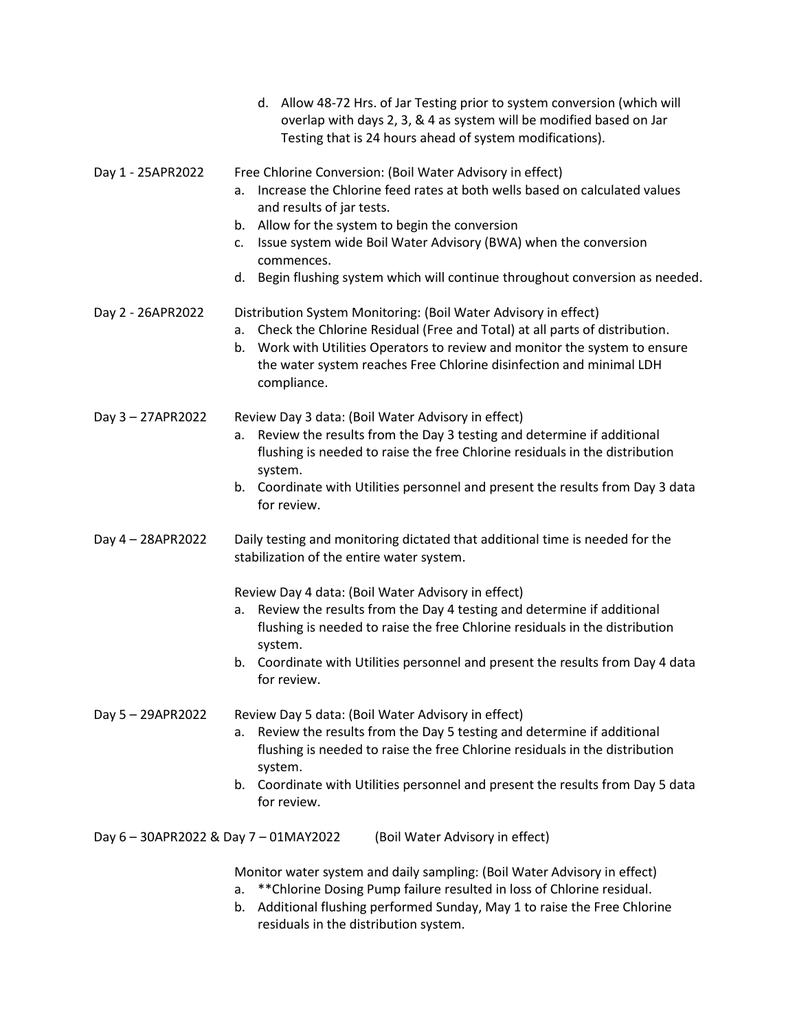|                                   | d. Allow 48-72 Hrs. of Jar Testing prior to system conversion (which will<br>overlap with days 2, 3, & 4 as system will be modified based on Jar<br>Testing that is 24 hours ahead of system modifications).                                                                                                                                                                                            |
|-----------------------------------|---------------------------------------------------------------------------------------------------------------------------------------------------------------------------------------------------------------------------------------------------------------------------------------------------------------------------------------------------------------------------------------------------------|
| Day 1 - 25APR2022                 | Free Chlorine Conversion: (Boil Water Advisory in effect)<br>Increase the Chlorine feed rates at both wells based on calculated values<br>a.<br>and results of jar tests.<br>Allow for the system to begin the conversion<br>b.<br>Issue system wide Boil Water Advisory (BWA) when the conversion<br>c.<br>commences.<br>d. Begin flushing system which will continue throughout conversion as needed. |
| Day 2 - 26APR2022                 | Distribution System Monitoring: (Boil Water Advisory in effect)<br>Check the Chlorine Residual (Free and Total) at all parts of distribution.<br>а.<br>Work with Utilities Operators to review and monitor the system to ensure<br>b.<br>the water system reaches Free Chlorine disinfection and minimal LDH<br>compliance.                                                                             |
| Day 3 - 27APR2022                 | Review Day 3 data: (Boil Water Advisory in effect)<br>Review the results from the Day 3 testing and determine if additional<br>а.<br>flushing is needed to raise the free Chlorine residuals in the distribution<br>system.<br>b. Coordinate with Utilities personnel and present the results from Day 3 data<br>for review.                                                                            |
| Day 4 - 28APR2022                 | Daily testing and monitoring dictated that additional time is needed for the<br>stabilization of the entire water system.                                                                                                                                                                                                                                                                               |
|                                   | Review Day 4 data: (Boil Water Advisory in effect)<br>Review the results from the Day 4 testing and determine if additional<br>a.<br>flushing is needed to raise the free Chlorine residuals in the distribution<br>system.<br>b. Coordinate with Utilities personnel and present the results from Day 4 data<br>for review.                                                                            |
| Day 5-29APR2022                   | Review Day 5 data: (Boil Water Advisory in effect)<br>Review the results from the Day 5 testing and determine if additional<br>а.<br>flushing is needed to raise the free Chlorine residuals in the distribution<br>system.<br>b. Coordinate with Utilities personnel and present the results from Day 5 data                                                                                           |
| Day 6-30APR2022 & Day 7-01MAY2022 | for review.<br>(Boil Water Advisory in effect)                                                                                                                                                                                                                                                                                                                                                          |
|                                   | Monitor water system and daily sampling: (Boil Water Advisory in effect)<br>** Chlorine Dosing Pump failure resulted in loss of Chlorine residual.<br>a.<br>Additional flushing performed Sunday, May 1 to raise the Free Chlorine<br>b.<br>residuals in the distribution system.                                                                                                                       |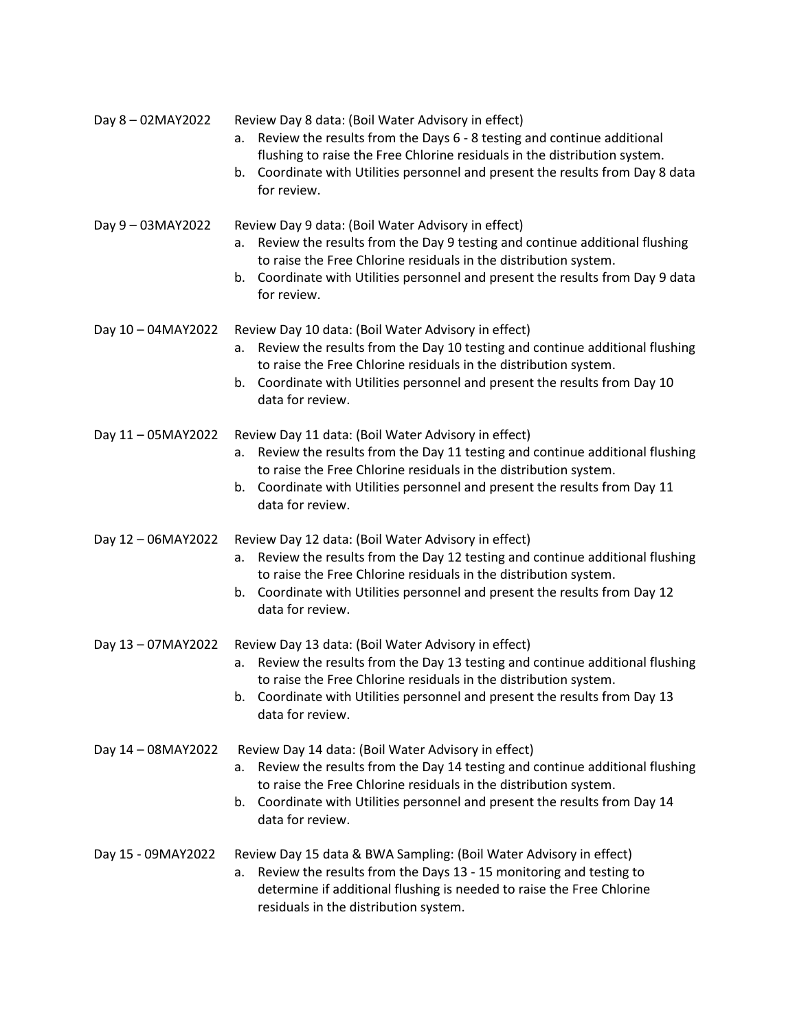| Day 8-02MAY2022    | Review Day 8 data: (Boil Water Advisory in effect)<br>Review the results from the Days 6 - 8 testing and continue additional<br>a.<br>flushing to raise the Free Chlorine residuals in the distribution system.<br>Coordinate with Utilities personnel and present the results from Day 8 data<br>b.<br>for review. |
|--------------------|---------------------------------------------------------------------------------------------------------------------------------------------------------------------------------------------------------------------------------------------------------------------------------------------------------------------|
| Day 9-03MAY2022    | Review Day 9 data: (Boil Water Advisory in effect)<br>Review the results from the Day 9 testing and continue additional flushing<br>а.<br>to raise the Free Chlorine residuals in the distribution system.<br>Coordinate with Utilities personnel and present the results from Day 9 data<br>b.<br>for review.      |
| Day 10 - 04MAY2022 | Review Day 10 data: (Boil Water Advisory in effect)<br>Review the results from the Day 10 testing and continue additional flushing<br>а.<br>to raise the Free Chlorine residuals in the distribution system.<br>b. Coordinate with Utilities personnel and present the results from Day 10<br>data for review.      |
| Day 11 - 05MAY2022 | Review Day 11 data: (Boil Water Advisory in effect)<br>Review the results from the Day 11 testing and continue additional flushing<br>а.<br>to raise the Free Chlorine residuals in the distribution system.<br>Coordinate with Utilities personnel and present the results from Day 11<br>b.<br>data for review.   |
| Day 12 - 06MAY2022 | Review Day 12 data: (Boil Water Advisory in effect)<br>Review the results from the Day 12 testing and continue additional flushing<br>a.<br>to raise the Free Chlorine residuals in the distribution system.<br>b. Coordinate with Utilities personnel and present the results from Day 12<br>data for review.      |
| Day 13 - 07MAY2022 | Review Day 13 data: (Boil Water Advisory in effect)<br>Review the results from the Day 13 testing and continue additional flushing<br>а.<br>to raise the Free Chlorine residuals in the distribution system.<br>Coordinate with Utilities personnel and present the results from Day 13<br>b.<br>data for review.   |
| Day 14 - 08MAY2022 | Review Day 14 data: (Boil Water Advisory in effect)<br>Review the results from the Day 14 testing and continue additional flushing<br>а.<br>to raise the Free Chlorine residuals in the distribution system.<br>Coordinate with Utilities personnel and present the results from Day 14<br>b.<br>data for review.   |
| Day 15 - 09MAY2022 | Review Day 15 data & BWA Sampling: (Boil Water Advisory in effect)<br>Review the results from the Days 13 - 15 monitoring and testing to<br>а.<br>determine if additional flushing is needed to raise the Free Chlorine<br>residuals in the distribution system.                                                    |